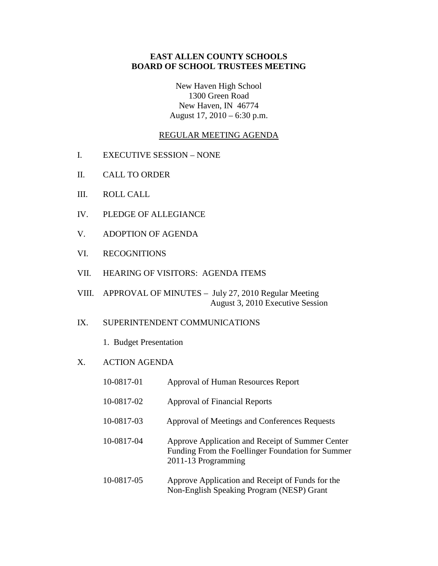## **EAST ALLEN COUNTY SCHOOLS BOARD OF SCHOOL TRUSTEES MEETING**

New Haven High School 1300 Green Road New Haven, IN 46774 August 17, 2010 – 6:30 p.m.

### REGULAR MEETING AGENDA

- I. EXECUTIVE SESSION NONE
- II. CALL TO ORDER
- III. ROLL CALL
- IV. PLEDGE OF ALLEGIANCE
- V. ADOPTION OF AGENDA
- VI. RECOGNITIONS
- VII. HEARING OF VISITORS: AGENDA ITEMS
- VIII. APPROVAL OF MINUTES July 27, 2010 Regular Meeting August 3, 2010 Executive Session

#### IX. SUPERINTENDENT COMMUNICATIONS

1. Budget Presentation

#### X. ACTION AGENDA

| 10-0817-01 | Approval of Human Resources Report                                                                                           |
|------------|------------------------------------------------------------------------------------------------------------------------------|
| 10-0817-02 | Approval of Financial Reports                                                                                                |
| 10-0817-03 | Approval of Meetings and Conferences Requests                                                                                |
| 10-0817-04 | Approve Application and Receipt of Summer Center<br>Funding From the Foellinger Foundation for Summer<br>2011-13 Programming |
| 10-0817-05 | Approve Application and Receipt of Funds for the<br>Non-English Speaking Program (NESP) Grant                                |